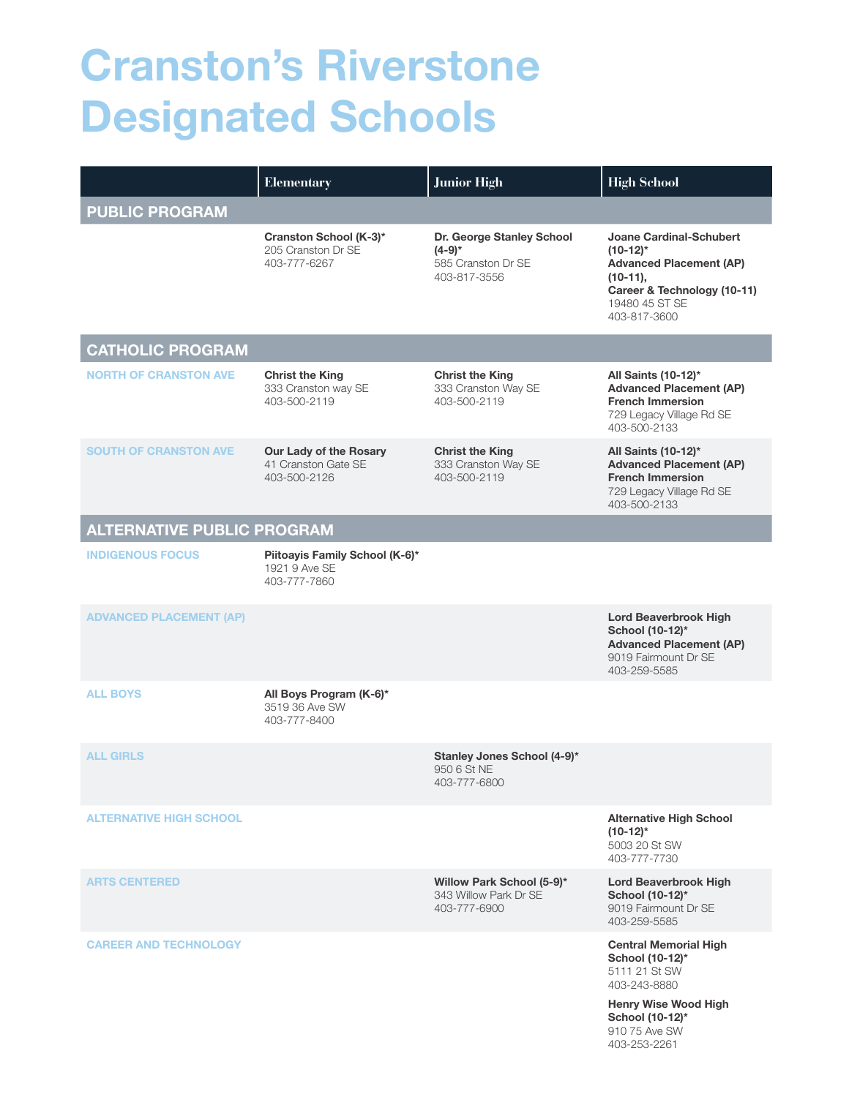## Cranston's Riverstone Designated Schools

|                                   | <b>Elementary</b>                                               | <b>Junior High</b>                                                          | <b>High School</b>                                                                                                                                             |
|-----------------------------------|-----------------------------------------------------------------|-----------------------------------------------------------------------------|----------------------------------------------------------------------------------------------------------------------------------------------------------------|
| <b>PUBLIC PROGRAM</b>             |                                                                 |                                                                             |                                                                                                                                                                |
|                                   | Cranston School (K-3)*<br>205 Cranston Dr SE<br>403-777-6267    | Dr. George Stanley School<br>$(4-9)*$<br>585 Cranston Dr SE<br>403-817-3556 | <b>Joane Cardinal-Schubert</b><br>$(10-12)^*$<br><b>Advanced Placement (AP)</b><br>$(10-11),$<br>Career & Technology (10-11)<br>19480 45 ST SE<br>403-817-3600 |
| <b>CATHOLIC PROGRAM</b>           |                                                                 |                                                                             |                                                                                                                                                                |
| <b>NORTH OF CRANSTON AVE</b>      | <b>Christ the King</b><br>333 Cranston way SE<br>403-500-2119   | <b>Christ the King</b><br>333 Cranston Way SE<br>403-500-2119               | All Saints (10-12)*<br><b>Advanced Placement (AP)</b><br><b>French Immersion</b><br>729 Legacy Village Rd SE<br>403-500-2133                                   |
| <b>SOUTH OF CRANSTON AVE</b>      | Our Lady of the Rosary<br>41 Cranston Gate SE<br>403-500-2126   | <b>Christ the King</b><br>333 Cranston Way SE<br>403-500-2119               | All Saints (10-12)*<br><b>Advanced Placement (AP)</b><br><b>French Immersion</b><br>729 Legacy Village Rd SE<br>403-500-2133                                   |
| <b>ALTERNATIVE PUBLIC PROGRAM</b> |                                                                 |                                                                             |                                                                                                                                                                |
| <b>INDIGENOUS FOCUS</b>           | Piitoayis Family School (K-6)*<br>1921 9 Ave SE<br>403-777-7860 |                                                                             |                                                                                                                                                                |
| <b>ADVANCED PLACEMENT (AP)</b>    |                                                                 |                                                                             | <b>Lord Beaverbrook High</b><br>School (10-12)*<br><b>Advanced Placement (AP)</b><br>9019 Fairmount Dr SE<br>403-259-5585                                      |
| <b>ALL BOYS</b>                   | All Boys Program (K-6)*<br>3519 36 Ave SW<br>403-777-8400       |                                                                             |                                                                                                                                                                |
| <b>ALL GIRLS</b>                  |                                                                 | Stanley Jones School (4-9)*<br>950 6 St NE<br>403-777-6800                  |                                                                                                                                                                |
| <b>ALTERNATIVE HIGH SCHOOL</b>    |                                                                 |                                                                             | <b>Alternative High School</b><br>$(10-12)^*$<br>5003 20 St SW<br>403-777-7730                                                                                 |
| <b>ARTS CENTERED</b>              |                                                                 | Willow Park School (5-9)*<br>343 Willow Park Dr SE<br>403-777-6900          | <b>Lord Beaverbrook High</b><br>School (10-12)*<br>9019 Fairmount Dr SE<br>403-259-5585                                                                        |
| <b>CAREER AND TECHNOLOGY</b>      |                                                                 |                                                                             | <b>Central Memorial High</b><br>School (10-12)*<br>5111 21 St SW<br>403-243-8880<br><b>Henry Wise Wood High</b><br>$0 - 140.401$                               |

**School (10-12)** 910 75 Ave SW 403-253-2261